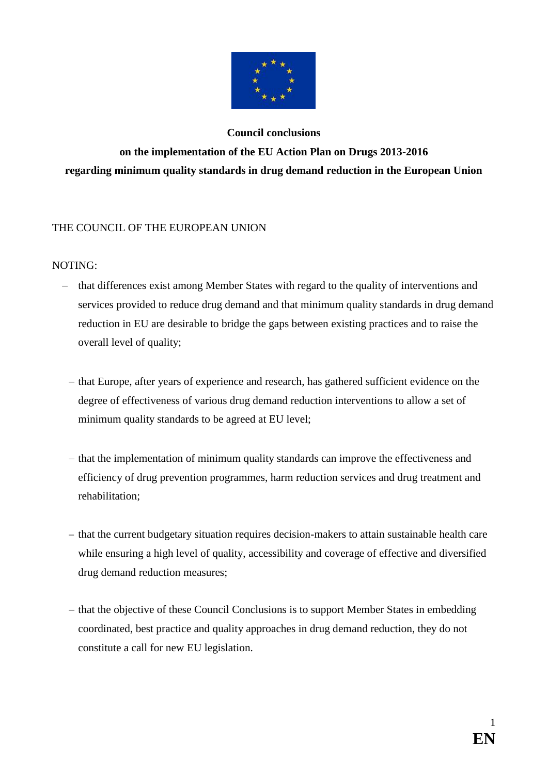

# **Council conclusions on the implementation of the EU Action Plan on Drugs 2013-2016 regarding minimum quality standards in drug demand reduction in the European Union**

# THE COUNCIL OF THE EUROPEAN UNION

## NOTING:

- that differences exist among Member States with regard to the quality of interventions and services provided to reduce drug demand and that minimum quality standards in drug demand reduction in EU are desirable to bridge the gaps between existing practices and to raise the overall level of quality;
	- that Europe, after years of experience and research, has gathered sufficient evidence on the degree of effectiveness of various drug demand reduction interventions to allow a set of minimum quality standards to be agreed at EU level;
	- that the implementation of minimum quality standards can improve the effectiveness and efficiency of drug prevention programmes, harm reduction services and drug treatment and rehabilitation;
	- that the current budgetary situation requires decision-makers to attain sustainable health care while ensuring a high level of quality, accessibility and coverage of effective and diversified drug demand reduction measures;
	- that the objective of these Council Conclusions is to support Member States in embedding coordinated, best practice and quality approaches in drug demand reduction, they do not constitute a call for new EU legislation.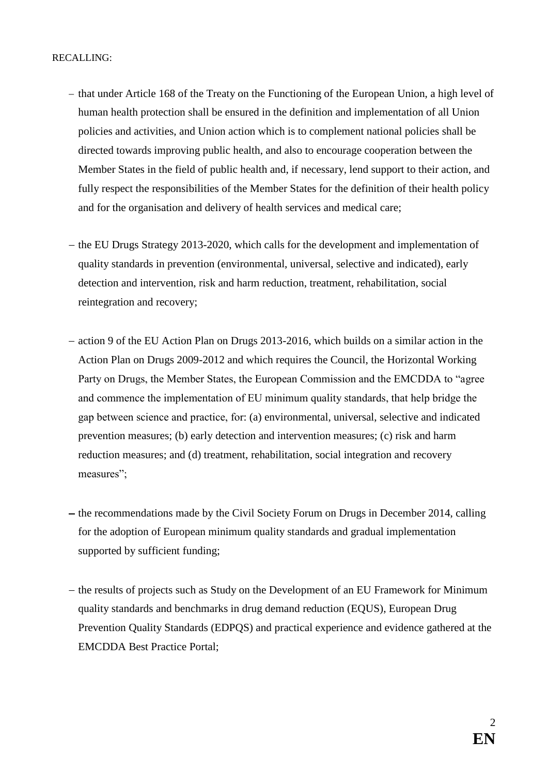- that under Article 168 of the Treaty on the Functioning of the European Union, a high level of human health protection shall be ensured in the definition and implementation of all Union policies and activities, and Union action which is to complement national policies shall be directed towards improving public health, and also to encourage cooperation between the Member States in the field of public health and, if necessary, lend support to their action, and fully respect the responsibilities of the Member States for the definition of their health policy and for the organisation and delivery of health services and medical care;
- $-$  the EU Drugs Strategy 2013-2020, which calls for the development and implementation of quality standards in prevention (environmental, universal, selective and indicated), early detection and intervention, risk and harm reduction, treatment, rehabilitation, social reintegration and recovery;
- action 9 of the EU Action Plan on Drugs 2013-2016, which builds on a similar action in the Action Plan on Drugs 2009-2012 and which requires the Council, the Horizontal Working Party on Drugs, the Member States, the European Commission and the EMCDDA to "agree and commence the implementation of EU minimum quality standards, that help bridge the gap between science and practice, for: (a) environmental, universal, selective and indicated prevention measures; (b) early detection and intervention measures; (c) risk and harm reduction measures; and (d) treatment, rehabilitation, social integration and recovery measures";
- $-$  the recommendations made by the Civil Society Forum on Drugs in December 2014, calling for the adoption of European minimum quality standards and gradual implementation supported by sufficient funding;
- the results of projects such as Study on the Development of an EU Framework for Minimum quality standards and benchmarks in drug demand reduction (EQUS), European Drug Prevention Quality Standards (EDPQS) and practical experience and evidence gathered at the EMCDDA Best Practice Portal;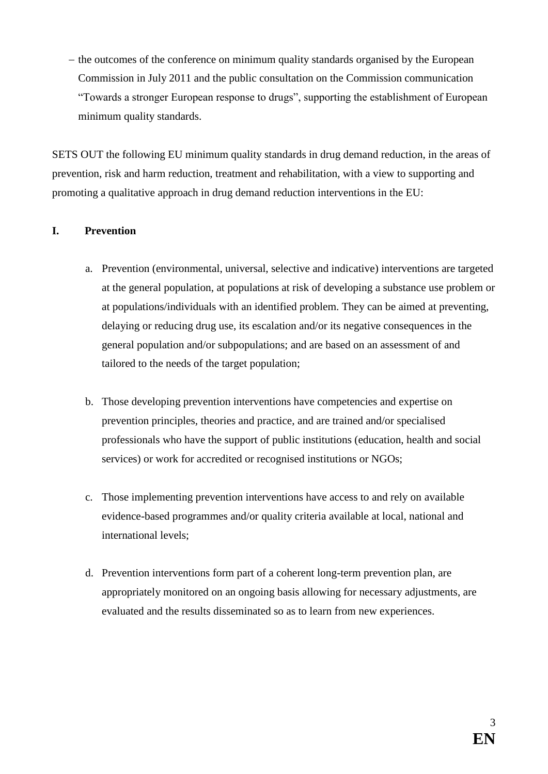$-$  the outcomes of the conference on minimum quality standards organised by the European Commission in July 2011 and the public consultation on the Commission communication "Towards a stronger European response to drugs", supporting the establishment of European minimum quality standards.

SETS OUT the following EU minimum quality standards in drug demand reduction, in the areas of prevention, risk and harm reduction, treatment and rehabilitation, with a view to supporting and promoting a qualitative approach in drug demand reduction interventions in the EU:

## **I. Prevention**

- a. Prevention (environmental, universal, selective and indicative) interventions are targeted at the general population, at populations at risk of developing a substance use problem or at populations/individuals with an identified problem. They can be aimed at preventing, delaying or reducing drug use, its escalation and/or its negative consequences in the general population and/or subpopulations; and are based on an assessment of and tailored to the needs of the target population;
- b. Those developing prevention interventions have competencies and expertise on prevention principles, theories and practice, and are trained and/or specialised professionals who have the support of public institutions (education, health and social services) or work for accredited or recognised institutions or NGOs;
- c. Those implementing prevention interventions have access to and rely on available evidence-based programmes and/or quality criteria available at local, national and international levels;
- d. Prevention interventions form part of a coherent long-term prevention plan, are appropriately monitored on an ongoing basis allowing for necessary adjustments, are evaluated and the results disseminated so as to learn from new experiences.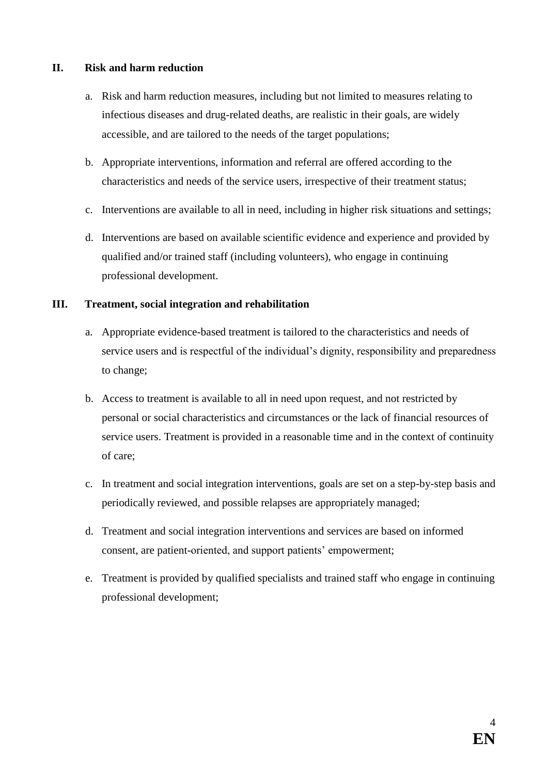#### **II. Risk and harm reduction**

- a. Risk and harm reduction measures, including but not limited to measures relating to infectious diseases and drug-related deaths, are realistic in their goals, are widely accessible, and are tailored to the needs of the target populations;
- b. Appropriate interventions, information and referral are offered according to the characteristics and needs of the service users, irrespective of their treatment status;
- c. Interventions are available to all in need, including in higher risk situations and settings;
- d. Interventions are based on available scientific evidence and experience and provided by qualified and/or trained staff (including volunteers), who engage in continuing professional development.

#### **III. Treatment, social integration and rehabilitation**

- a. Appropriate evidence-based treatment is tailored to the characteristics and needs of service users and is respectful of the individual's dignity, responsibility and preparedness to change;
- b. Access to treatment is available to all in need upon request, and not restricted by personal or social characteristics and circumstances or the lack of financial resources of service users. Treatment is provided in a reasonable time and in the context of continuity of care;
- c. In treatment and social integration interventions, goals are set on a step-by-step basis and periodically reviewed, and possible relapses are appropriately managed;
- d. Treatment and social integration interventions and services are based on informed consent, are patient-oriented, and support patients' empowerment;
- e. Treatment is provided by qualified specialists and trained staff who engage in continuing professional development;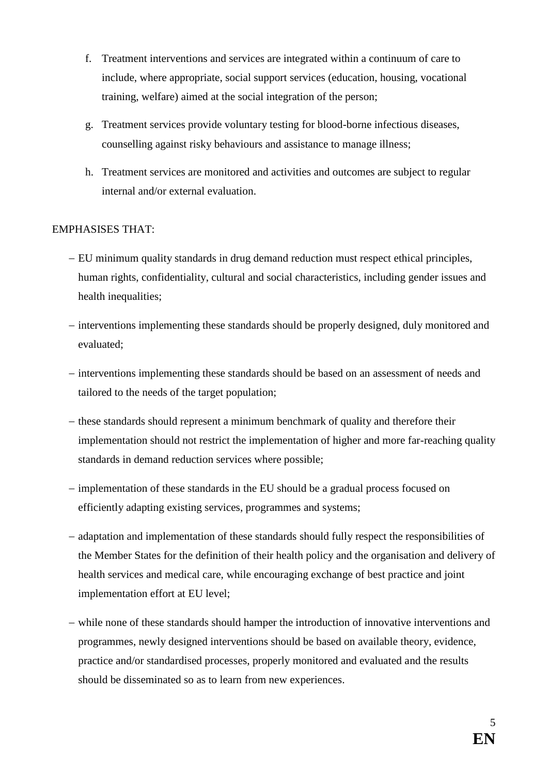- f. Treatment interventions and services are integrated within a continuum of care to include, where appropriate, social support services (education, housing, vocational training, welfare) aimed at the social integration of the person;
- g. Treatment services provide voluntary testing for blood-borne infectious diseases, counselling against risky behaviours and assistance to manage illness;
- h. Treatment services are monitored and activities and outcomes are subject to regular internal and/or external evaluation.

#### EMPHASISES THAT:

- EU minimum quality standards in drug demand reduction must respect ethical principles, human rights, confidentiality, cultural and social characteristics, including gender issues and health inequalities;
- interventions implementing these standards should be properly designed, duly monitored and evaluated;
- interventions implementing these standards should be based on an assessment of needs and tailored to the needs of the target population;
- these standards should represent a minimum benchmark of quality and therefore their implementation should not restrict the implementation of higher and more far-reaching quality standards in demand reduction services where possible;
- implementation of these standards in the EU should be a gradual process focused on efficiently adapting existing services, programmes and systems;
- adaptation and implementation of these standards should fully respect the responsibilities of the Member States for the definition of their health policy and the organisation and delivery of health services and medical care, while encouraging exchange of best practice and joint implementation effort at EU level;
- while none of these standards should hamper the introduction of innovative interventions and programmes, newly designed interventions should be based on available theory, evidence, practice and/or standardised processes, properly monitored and evaluated and the results should be disseminated so as to learn from new experiences.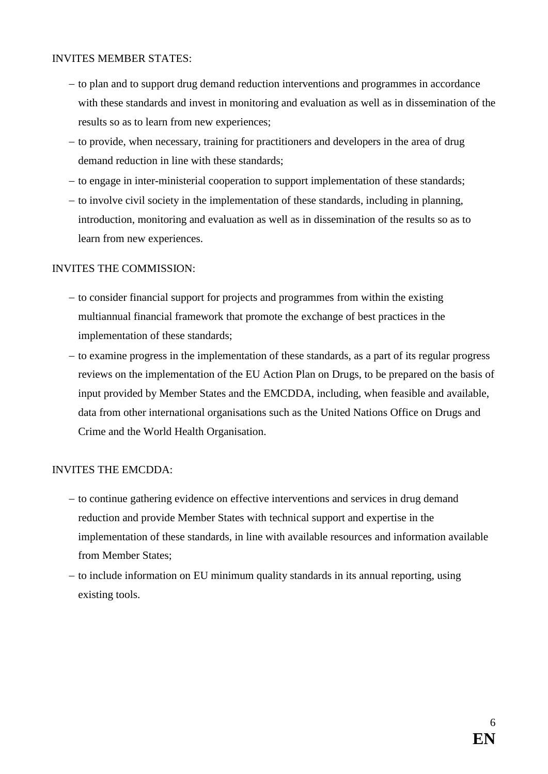#### INVITES MEMBER STATES:

- to plan and to support drug demand reduction interventions and programmes in accordance with these standards and invest in monitoring and evaluation as well as in dissemination of the results so as to learn from new experiences;
- $-$  to provide, when necessary, training for practitioners and developers in the area of drug demand reduction in line with these standards;
- to engage in inter-ministerial cooperation to support implementation of these standards;
- $-$  to involve civil society in the implementation of these standards, including in planning, introduction, monitoring and evaluation as well as in dissemination of the results so as to learn from new experiences.

## INVITES THE COMMISSION:

- $-$  to consider financial support for projects and programmes from within the existing multiannual financial framework that promote the exchange of best practices in the implementation of these standards;
- to examine progress in the implementation of these standards, as a part of its regular progress reviews on the implementation of the EU Action Plan on Drugs, to be prepared on the basis of input provided by Member States and the EMCDDA, including, when feasible and available, data from other international organisations such as the United Nations Office on Drugs and Crime and the World Health Organisation.

# INVITES THE EMCDDA:

- to continue gathering evidence on effective interventions and services in drug demand reduction and provide Member States with technical support and expertise in the implementation of these standards, in line with available resources and information available from Member States;
- to include information on EU minimum quality standards in its annual reporting, using existing tools.